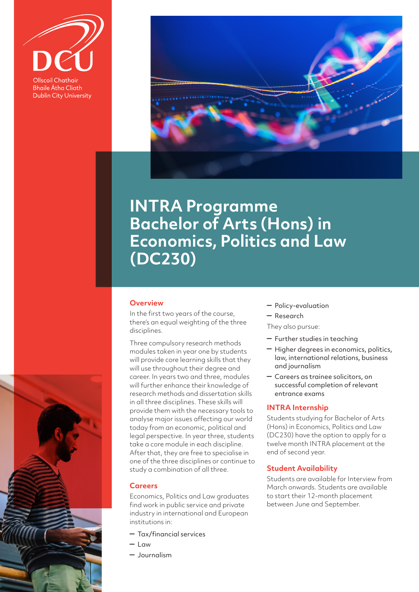**Ollscoil Chathair** 

**Bhaile Átha Cliath Dublin City University** 



# **INTRA Programme Bachelor of Arts (Hons) in Economics, Politics and Law (DC230)**

# **Overview**

In the first two years of the course, there's an equal weighting of the three disciplines.

Three compulsory research methods modules taken in year one by students will provide core learning skills that they will use throughout their degree and career. In years two and three, modules will further enhance their knowledge of research methods and dissertation skills in all three disciplines. These skills will provide them with the necessary tools to analyse major issues affecting our world today from an economic, political and legal perspective. In year three, students take a core module in each discipline. After that, they are free to specialise in one of the three disciplines or continue to study a combination of all three.

### **Careers**

Economics, Politics and Law graduates find work in public service and private industry in international and European institutions in:

- – Tax/financial services
- $-$  Law
- – Journalism
- $-$  Policy-evaluation
- – Research

They also pursue:

- $-$  Further studies in teaching
- $-$  Higher degrees in economics, politics, law, international relations, business and journalism
- – Careers as trainee solicitors, on successful completion of relevant entrance exams

# **INTRA Internship**

Students studying for Bachelor of Arts (Hons) in Economics, Politics and Law (DC230) have the option to apply for a twelve month INTRA placement at the end of second year.

# **Student Availability**

Students are available for Interview from March onwards. Students are available to start their 12-month placement between June and September.